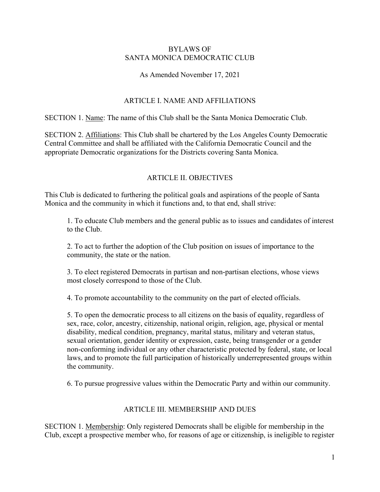### BYLAWS OF SANTA MONICA DEMOCRATIC CLUB

# As Amended November 17, 2021

# ARTICLE I. NAME AND AFFILIATIONS

SECTION 1. Name: The name of this Club shall be the Santa Monica Democratic Club.

SECTION 2. Affiliations: This Club shall be chartered by the Los Angeles County Democratic Central Committee and shall be affiliated with the California Democratic Council and the appropriate Democratic organizations for the Districts covering Santa Monica.

# ARTICLE II. OBJECTIVES

This Club is dedicated to furthering the political goals and aspirations of the people of Santa Monica and the community in which it functions and, to that end, shall strive:

1. To educate Club members and the general public as to issues and candidates of interest to the Club.

2. To act to further the adoption of the Club position on issues of importance to the community, the state or the nation.

3. To elect registered Democrats in partisan and non-partisan elections, whose views most closely correspond to those of the Club.

4. To promote accountability to the community on the part of elected officials.

5. To open the democratic process to all citizens on the basis of equality, regardless of sex, race, color, ancestry, citizenship, national origin, religion, age, physical or mental disability, medical condition, pregnancy, marital status, military and veteran status, sexual orientation, gender identity or expression, caste, being transgender or a gender non-conforming individual or any other characteristic protected by federal, state, or local laws, and to promote the full participation of historically underrepresented groups within the community.

6. To pursue progressive values within the Democratic Party and within our community.

# ARTICLE III. MEMBERSHIP AND DUES

SECTION 1. Membership: Only registered Democrats shall be eligible for membership in the Club, except a prospective member who, for reasons of age or citizenship, is ineligible to register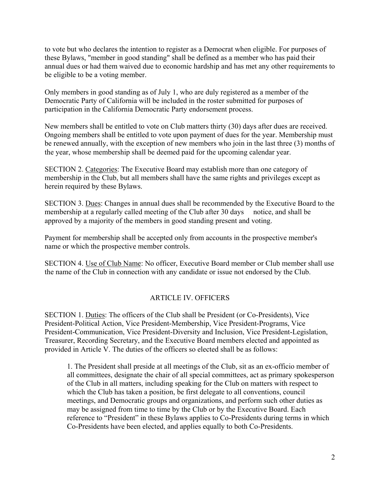to vote but who declares the intention to register as a Democrat when eligible. For purposes of these Bylaws, "member in good standing" shall be defined as a member who has paid their annual dues or had them waived due to economic hardship and has met any other requirements to be eligible to be a voting member.

Only members in good standing as of July 1, who are duly registered as a member of the Democratic Party of California will be included in the roster submitted for purposes of participation in the California Democratic Party endorsement process.

New members shall be entitled to vote on Club matters thirty (30) days after dues are received. Ongoing members shall be entitled to vote upon payment of dues for the year. Membership must be renewed annually, with the exception of new members who join in the last three (3) months of the year, whose membership shall be deemed paid for the upcoming calendar year.

SECTION 2. Categories: The Executive Board may establish more than one category of membership in the Club, but all members shall have the same rights and privileges except as herein required by these Bylaws.

SECTION 3. Dues: Changes in annual dues shall be recommended by the Executive Board to the membership at a regularly called meeting of the Club after 30 days notice, and shall be approved by a majority of the members in good standing present and voting.

Payment for membership shall be accepted only from accounts in the prospective member's name or which the prospective member controls.

SECTION 4. Use of Club Name: No officer, Executive Board member or Club member shall use the name of the Club in connection with any candidate or issue not endorsed by the Club.

# ARTICLE IV. OFFICERS

SECTION 1. Duties: The officers of the Club shall be President (or Co-Presidents), Vice President-Political Action, Vice President-Membership, Vice President-Programs, Vice President-Communication, Vice President-Diversity and Inclusion, Vice President-Legislation, Treasurer, Recording Secretary, and the Executive Board members elected and appointed as provided in Article V. The duties of the officers so elected shall be as follows:

1. The President shall preside at all meetings of the Club, sit as an ex-officio member of all committees, designate the chair of all special committees, act as primary spokesperson of the Club in all matters, including speaking for the Club on matters with respect to which the Club has taken a position, be first delegate to all conventions, council meetings, and Democratic groups and organizations, and perform such other duties as may be assigned from time to time by the Club or by the Executive Board. Each reference to "President" in these Bylaws applies to Co-Presidents during terms in which Co-Presidents have been elected, and applies equally to both Co-Presidents.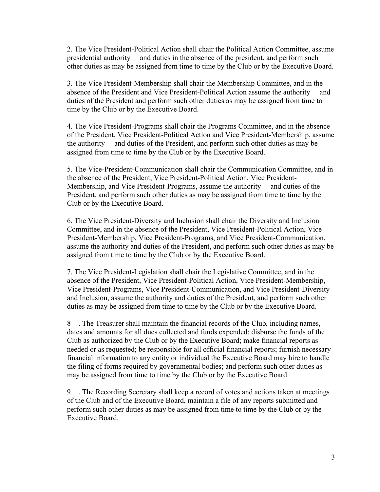2. The Vice President-Political Action shall chair the Political Action Committee, assume presidential authority and duties in the absence of the president, and perform such other duties as may be assigned from time to time by the Club or by the Executive Board.

3. The Vice President-Membership shall chair the Membership Committee, and in the absence of the President and Vice President-Political Action assume the authority and duties of the President and perform such other duties as may be assigned from time to time by the Club or by the Executive Board.

4. The Vice President-Programs shall chair the Programs Committee, and in the absence of the President, Vice President-Political Action and Vice President-Membership, assume the authority and duties of the President, and perform such other duties as may be assigned from time to time by the Club or by the Executive Board.

5. The Vice-President-Communication shall chair the Communication Committee, and in the absence of the President, Vice President-Political Action, Vice President-Membership, and Vice President-Programs, assume the authority and duties of the President, and perform such other duties as may be assigned from time to time by the Club or by the Executive Board.

6. The Vice President-Diversity and Inclusion shall chair the Diversity and Inclusion Committee, and in the absence of the President, Vice President-Political Action, Vice President-Membership, Vice President-Programs, and Vice President-Communication, assume the authority and duties of the President, and perform such other duties as may be assigned from time to time by the Club or by the Executive Board.

7. The Vice President-Legislation shall chair the Legislative Committee, and in the absence of the President, Vice President-Political Action, Vice President-Membership, Vice President-Programs, Vice President-Communication, and Vice President-Diversity and Inclusion, assume the authority and duties of the President, and perform such other duties as may be assigned from time to time by the Club or by the Executive Board.

8 . The Treasurer shall maintain the financial records of the Club, including names, dates and amounts for all dues collected and funds expended; disburse the funds of the Club as authorized by the Club or by the Executive Board; make financial reports as needed or as requested; be responsible for all official financial reports; furnish necessary financial information to any entity or individual the Executive Board may hire to handle the filing of forms required by governmental bodies; and perform such other duties as may be assigned from time to time by the Club or by the Executive Board.

9 . The Recording Secretary shall keep a record of votes and actions taken at meetings of the Club and of the Executive Board, maintain a file of any reports submitted and perform such other duties as may be assigned from time to time by the Club or by the Executive Board.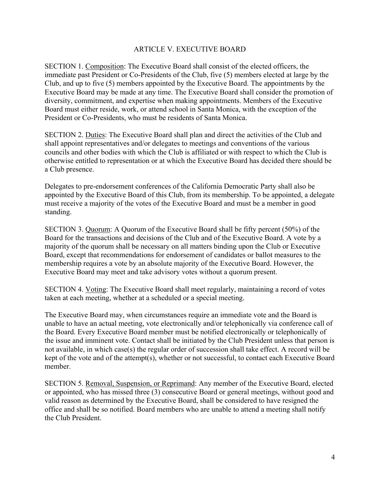### ARTICLE V. EXECUTIVE BOARD

SECTION 1. Composition: The Executive Board shall consist of the elected officers, the immediate past President or Co-Presidents of the Club, five (5) members elected at large by the Club, and up to five (5) members appointed by the Executive Board. The appointments by the Executive Board may be made at any time. The Executive Board shall consider the promotion of diversity, commitment, and expertise when making appointments. Members of the Executive Board must either reside, work, or attend school in Santa Monica, with the exception of the President or Co-Presidents, who must be residents of Santa Monica.

SECTION 2. Duties: The Executive Board shall plan and direct the activities of the Club and shall appoint representatives and/or delegates to meetings and conventions of the various councils and other bodies with which the Club is affiliated or with respect to which the Club is otherwise entitled to representation or at which the Executive Board has decided there should be a Club presence.

Delegates to pre-endorsement conferences of the California Democratic Party shall also be appointed by the Executive Board of this Club, from its membership. To be appointed, a delegate must receive a majority of the votes of the Executive Board and must be a member in good standing.

SECTION 3. Quorum: A Quorum of the Executive Board shall be fifty percent (50%) of the Board for the transactions and decisions of the Club and of the Executive Board. A vote by a majority of the quorum shall be necessary on all matters binding upon the Club or Executive Board, except that recommendations for endorsement of candidates or ballot measures to the membership requires a vote by an absolute majority of the Executive Board. However, the Executive Board may meet and take advisory votes without a quorum present.

SECTION 4. Voting: The Executive Board shall meet regularly, maintaining a record of votes taken at each meeting, whether at a scheduled or a special meeting.

The Executive Board may, when circumstances require an immediate vote and the Board is unable to have an actual meeting, vote electronically and/or telephonically via conference call of the Board. Every Executive Board member must be notified electronically or telephonically of the issue and imminent vote. Contact shall be initiated by the Club President unless that person is not available, in which case(s) the regular order of succession shall take effect. A record will be kept of the vote and of the attempt(s), whether or not successful, to contact each Executive Board member.

SECTION 5. Removal, Suspension, or Reprimand: Any member of the Executive Board, elected or appointed, who has missed three (3) consecutive Board or general meetings, without good and valid reason as determined by the Executive Board, shall be considered to have resigned the office and shall be so notified. Board members who are unable to attend a meeting shall notify the Club President.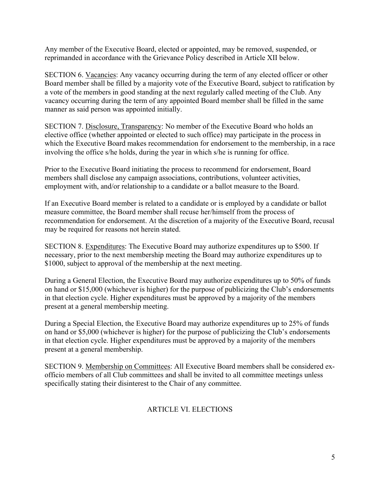Any member of the Executive Board, elected or appointed, may be removed, suspended, or reprimanded in accordance with the Grievance Policy described in Article XII below.

SECTION 6. Vacancies: Any vacancy occurring during the term of any elected officer or other Board member shall be filled by a majority vote of the Executive Board, subject to ratification by a vote of the members in good standing at the next regularly called meeting of the Club. Any vacancy occurring during the term of any appointed Board member shall be filled in the same manner as said person was appointed initially.

SECTION 7. Disclosure, Transparency: No member of the Executive Board who holds an elective office (whether appointed or elected to such office) may participate in the process in which the Executive Board makes recommendation for endorsement to the membership, in a race involving the office s/he holds, during the year in which s/he is running for office.

Prior to the Executive Board initiating the process to recommend for endorsement, Board members shall disclose any campaign associations, contributions, volunteer activities, employment with, and/or relationship to a candidate or a ballot measure to the Board.

If an Executive Board member is related to a candidate or is employed by a candidate or ballot measure committee, the Board member shall recuse her/himself from the process of recommendation for endorsement. At the discretion of a majority of the Executive Board, recusal may be required for reasons not herein stated.

SECTION 8. Expenditures: The Executive Board may authorize expenditures up to \$500. If necessary, prior to the next membership meeting the Board may authorize expenditures up to \$1000, subject to approval of the membership at the next meeting.

During a General Election, the Executive Board may authorize expenditures up to 50% of funds on hand or \$15,000 (whichever is higher) for the purpose of publicizing the Club's endorsements in that election cycle. Higher expenditures must be approved by a majority of the members present at a general membership meeting.

During a Special Election, the Executive Board may authorize expenditures up to 25% of funds on hand or \$5,000 (whichever is higher) for the purpose of publicizing the Club's endorsements in that election cycle. Higher expenditures must be approved by a majority of the members present at a general membership.

SECTION 9. Membership on Committees: All Executive Board members shall be considered exofficio members of all Club committees and shall be invited to all committee meetings unless specifically stating their disinterest to the Chair of any committee.

# ARTICLE VI. ELECTIONS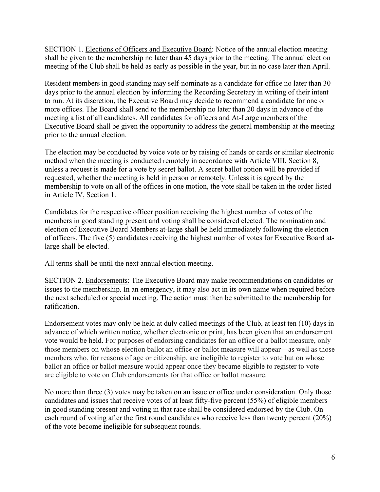SECTION 1. Elections of Officers and Executive Board: Notice of the annual election meeting shall be given to the membership no later than 45 days prior to the meeting. The annual election meeting of the Club shall be held as early as possible in the year, but in no case later than April.

Resident members in good standing may self-nominate as a candidate for office no later than 30 days prior to the annual election by informing the Recording Secretary in writing of their intent to run. At its discretion, the Executive Board may decide to recommend a candidate for one or more offices. The Board shall send to the membership no later than 20 days in advance of the meeting a list of all candidates. All candidates for officers and At-Large members of the Executive Board shall be given the opportunity to address the general membership at the meeting prior to the annual election.

The election may be conducted by voice vote or by raising of hands or cards or similar electronic method when the meeting is conducted remotely in accordance with Article VIII, Section 8, unless a request is made for a vote by secret ballot. A secret ballot option will be provided if requested, whether the meeting is held in person or remotely. Unless it is agreed by the membership to vote on all of the offices in one motion, the vote shall be taken in the order listed in Article IV, Section 1.

Candidates for the respective officer position receiving the highest number of votes of the members in good standing present and voting shall be considered elected. The nomination and election of Executive Board Members at-large shall be held immediately following the election of officers. The five (5) candidates receiving the highest number of votes for Executive Board atlarge shall be elected.

All terms shall be until the next annual election meeting.

SECTION 2. Endorsements: The Executive Board may make recommendations on candidates or issues to the membership. In an emergency, it may also act in its own name when required before the next scheduled or special meeting. The action must then be submitted to the membership for ratification.

Endorsement votes may only be held at duly called meetings of the Club, at least ten (10) days in advance of which written notice, whether electronic or print, has been given that an endorsement vote would be held. For purposes of endorsing candidates for an office or a ballot measure, only those members on whose election ballot an office or ballot measure will appear—as well as those members who, for reasons of age or citizenship, are ineligible to register to vote but on whose ballot an office or ballot measure would appear once they became eligible to register to vote are eligible to vote on Club endorsements for that office or ballot measure.

No more than three (3) votes may be taken on an issue or office under consideration. Only those candidates and issues that receive votes of at least fifty-five percent (55%) of eligible members in good standing present and voting in that race shall be considered endorsed by the Club. On each round of voting after the first round candidates who receive less than twenty percent (20%) of the vote become ineligible for subsequent rounds.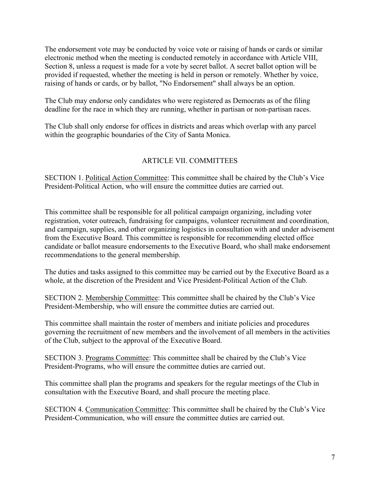The endorsement vote may be conducted by voice vote or raising of hands or cards or similar electronic method when the meeting is conducted remotely in accordance with Article VIII, Section 8, unless a request is made for a vote by secret ballot. A secret ballot option will be provided if requested, whether the meeting is held in person or remotely. Whether by voice, raising of hands or cards, or by ballot, "No Endorsement" shall always be an option.

The Club may endorse only candidates who were registered as Democrats as of the filing deadline for the race in which they are running, whether in partisan or non-partisan races.

The Club shall only endorse for offices in districts and areas which overlap with any parcel within the geographic boundaries of the City of Santa Monica.

# ARTICLE VII. COMMITTEES

SECTION 1. Political Action Committee: This committee shall be chaired by the Club's Vice President-Political Action, who will ensure the committee duties are carried out.

This committee shall be responsible for all political campaign organizing, including voter registration, voter outreach, fundraising for campaigns, volunteer recruitment and coordination, and campaign, supplies, and other organizing logistics in consultation with and under advisement from the Executive Board. This committee is responsible for recommending elected office candidate or ballot measure endorsements to the Executive Board, who shall make endorsement recommendations to the general membership.

The duties and tasks assigned to this committee may be carried out by the Executive Board as a whole, at the discretion of the President and Vice President-Political Action of the Club.

SECTION 2. Membership Committee: This committee shall be chaired by the Club's Vice President-Membership, who will ensure the committee duties are carried out.

This committee shall maintain the roster of members and initiate policies and procedures governing the recruitment of new members and the involvement of all members in the activities of the Club, subject to the approval of the Executive Board.

SECTION 3. Programs Committee: This committee shall be chaired by the Club's Vice President-Programs, who will ensure the committee duties are carried out.

This committee shall plan the programs and speakers for the regular meetings of the Club in consultation with the Executive Board, and shall procure the meeting place.

SECTION 4. Communication Committee: This committee shall be chaired by the Club's Vice President-Communication, who will ensure the committee duties are carried out.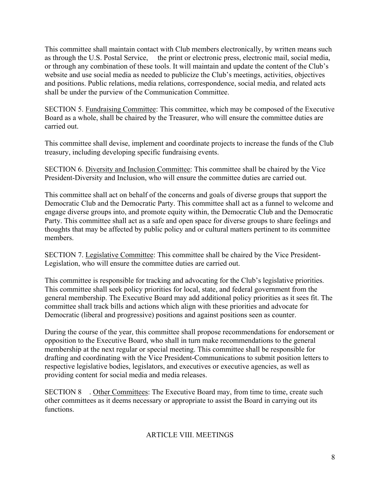This committee shall maintain contact with Club members electronically, by written means such as through the U.S. Postal Service, the print or electronic press, electronic mail, social media, or through any combination of these tools. It will maintain and update the content of the Club's website and use social media as needed to publicize the Club's meetings, activities, objectives and positions. Public relations, media relations, correspondence, social media, and related acts shall be under the purview of the Communication Committee.

SECTION 5. Fundraising Committee: This committee, which may be composed of the Executive Board as a whole, shall be chaired by the Treasurer, who will ensure the committee duties are carried out.

This committee shall devise, implement and coordinate projects to increase the funds of the Club treasury, including developing specific fundraising events.

SECTION 6. Diversity and Inclusion Committee: This committee shall be chaired by the Vice President-Diversity and Inclusion, who will ensure the committee duties are carried out.

This committee shall act on behalf of the concerns and goals of diverse groups that support the Democratic Club and the Democratic Party. This committee shall act as a funnel to welcome and engage diverse groups into, and promote equity within, the Democratic Club and the Democratic Party. This committee shall act as a safe and open space for diverse groups to share feelings and thoughts that may be affected by public policy and or cultural matters pertinent to its committee members.

SECTION 7. Legislative Committee: This committee shall be chaired by the Vice President-Legislation, who will ensure the committee duties are carried out.

This committee is responsible for tracking and advocating for the Club's legislative priorities. This committee shall seek policy priorities for local, state, and federal government from the general membership. The Executive Board may add additional policy priorities as it sees fit. The committee shall track bills and actions which align with these priorities and advocate for Democratic (liberal and progressive) positions and against positions seen as counter.

During the course of the year, this committee shall propose recommendations for endorsement or opposition to the Executive Board, who shall in turn make recommendations to the general membership at the next regular or special meeting. This committee shall be responsible for drafting and coordinating with the Vice President-Communications to submit position letters to respective legislative bodies, legislators, and executives or executive agencies, as well as providing content for social media and media releases.

SECTION 8 . Other Committees: The Executive Board may, from time to time, create such other committees as it deems necessary or appropriate to assist the Board in carrying out its functions.

# ARTICLE VIII. MEETINGS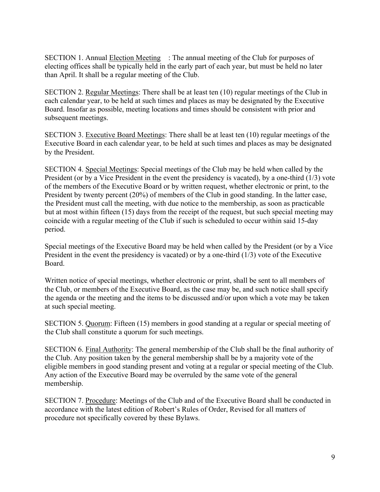SECTION 1. Annual Election Meeting : The annual meeting of the Club for purposes of electing offices shall be typically held in the early part of each year, but must be held no later than April. It shall be a regular meeting of the Club.

SECTION 2. Regular Meetings: There shall be at least ten (10) regular meetings of the Club in each calendar year, to be held at such times and places as may be designated by the Executive Board. Insofar as possible, meeting locations and times should be consistent with prior and subsequent meetings.

SECTION 3. Executive Board Meetings: There shall be at least ten (10) regular meetings of the Executive Board in each calendar year, to be held at such times and places as may be designated by the President.

SECTION 4. Special Meetings: Special meetings of the Club may be held when called by the President (or by a Vice President in the event the presidency is vacated), by a one-third (1/3) vote of the members of the Executive Board or by written request, whether electronic or print, to the President by twenty percent (20%) of members of the Club in good standing. In the latter case, the President must call the meeting, with due notice to the membership, as soon as practicable but at most within fifteen (15) days from the receipt of the request, but such special meeting may coincide with a regular meeting of the Club if such is scheduled to occur within said 15-day period.

Special meetings of the Executive Board may be held when called by the President (or by a Vice President in the event the presidency is vacated) or by a one-third (1/3) vote of the Executive Board.

Written notice of special meetings, whether electronic or print, shall be sent to all members of the Club, or members of the Executive Board, as the case may be, and such notice shall specify the agenda or the meeting and the items to be discussed and/or upon which a vote may be taken at such special meeting.

SECTION 5. Quorum: Fifteen (15) members in good standing at a regular or special meeting of the Club shall constitute a quorum for such meetings.

SECTION 6. Final Authority: The general membership of the Club shall be the final authority of the Club. Any position taken by the general membership shall be by a majority vote of the eligible members in good standing present and voting at a regular or special meeting of the Club. Any action of the Executive Board may be overruled by the same vote of the general membership.

SECTION 7. Procedure: Meetings of the Club and of the Executive Board shall be conducted in accordance with the latest edition of Robert's Rules of Order, Revised for all matters of procedure not specifically covered by these Bylaws.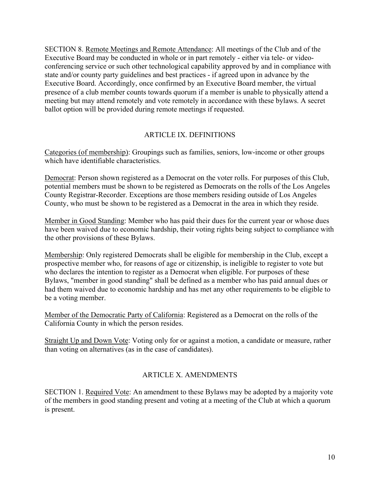SECTION 8. Remote Meetings and Remote Attendance: All meetings of the Club and of the Executive Board may be conducted in whole or in part remotely - either via tele- or videoconferencing service or such other technological capability approved by and in compliance with state and/or county party guidelines and best practices - if agreed upon in advance by the Executive Board. Accordingly, once confirmed by an Executive Board member, the virtual presence of a club member counts towards quorum if a member is unable to physically attend a meeting but may attend remotely and vote remotely in accordance with these bylaws. A secret ballot option will be provided during remote meetings if requested.

# ARTICLE IX. DEFINITIONS

Categories (of membership): Groupings such as families, seniors, low-income or other groups which have identifiable characteristics.

Democrat: Person shown registered as a Democrat on the voter rolls. For purposes of this Club, potential members must be shown to be registered as Democrats on the rolls of the Los Angeles County Registrar-Recorder. Exceptions are those members residing outside of Los Angeles County, who must be shown to be registered as a Democrat in the area in which they reside.

Member in Good Standing: Member who has paid their dues for the current year or whose dues have been waived due to economic hardship, their voting rights being subject to compliance with the other provisions of these Bylaws.

Membership: Only registered Democrats shall be eligible for membership in the Club, except a prospective member who, for reasons of age or citizenship, is ineligible to register to vote but who declares the intention to register as a Democrat when eligible. For purposes of these Bylaws, "member in good standing" shall be defined as a member who has paid annual dues or had them waived due to economic hardship and has met any other requirements to be eligible to be a voting member.

Member of the Democratic Party of California: Registered as a Democrat on the rolls of the California County in which the person resides.

Straight Up and Down Vote: Voting only for or against a motion, a candidate or measure, rather than voting on alternatives (as in the case of candidates).

# ARTICLE X. AMENDMENTS

SECTION 1. Required Vote: An amendment to these Bylaws may be adopted by a majority vote of the members in good standing present and voting at a meeting of the Club at which a quorum is present.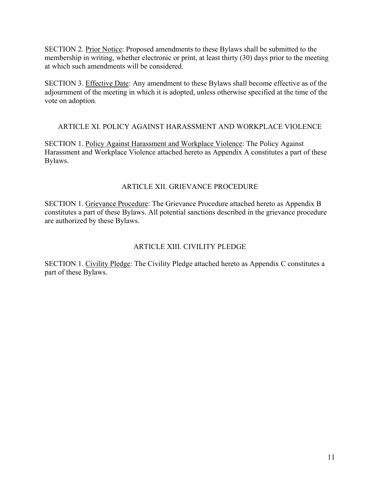SECTION 2. Prior Notice: Proposed amendments to these Bylaws shall be submitted to the membership in writing, whether electronic or print, at least thirty (30) days prior to the meeting at which such amendments will be considered.

SECTION 3. Effective Date: Any amendment to these Bylaws shall become effective as of the adjournment of the meeting in which it is adopted, unless otherwise specified at the time of the vote on adoption.

# ARTICLE XI. POLICY AGAINST HARASSMENT AND WORKPLACE VIOLENCE

SECTION 1. Policy Against Harassment and Workplace Violence: The Policy Against Harassment and Workplace Violence attached hereto as Appendix A constitutes a part of these Bylaws.

### ARTICLE XII. GRIEVANCE PROCEDURE

SECTION 1. Grievance Procedure: The Grievance Procedure attached hereto as Appendix B constitutes a part of these Bylaws. All potential sanctions described in the grievance procedure are authorized by these Bylaws.

# ARTICLE XIII. CIVILITY PLEDGE

SECTION 1. Civility Pledge: The Civility Pledge attached hereto as Appendix C constitutes a part of these Bylaws.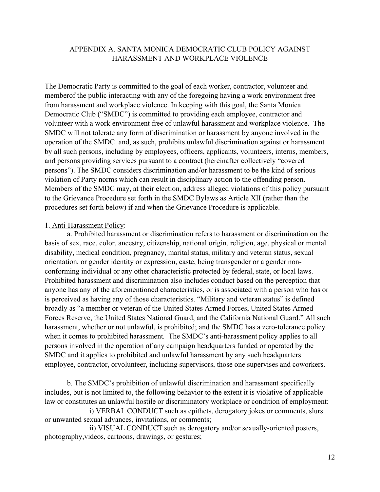### APPENDIX A. SANTA MONICA DEMOCRATIC CLUB POLICY AGAINST HARASSMENT AND WORKPLACE VIOLENCE

The Democratic Party is committed to the goal of each worker, contractor, volunteer and member of the public interacting with any of the foregoing having a work environment free from harassment and workplace violence. In keeping with this goal, the Santa Monica Democratic Club ("SMDC") is committed to providing each employee, contractor and volunteer with a work environment free of unlawful harassment and workplace violence. The SMDC will not tolerate any form of discrimination or harassment by anyone involved in the operation of the SMDC and, as such, prohibits unlawful discrimination against or harassment by all such persons, including by employees, officers, applicants, volunteers, interns, members, and persons providing services pursuant to a contract (hereinafter collectively "covered persons"). The SMDC considers discrimination and/or harassment to be the kind of serious violation of Party norms which can result in disciplinary action to the offending person. Members of the SMDC may, at their election, address alleged violations of this policy pursuant to the Grievance Procedure set forth in the SMDC Bylaws as Article XII (rather than the procedures set forth below) if and when the Grievance Procedure is applicable.

#### 1. Anti-Harassment Policy:

a. Prohibited harassment or discrimination refers to harassment or discrimination on the basis of sex, race, color, ancestry, citizenship, national origin, religion, age, physical or mental disability, medical condition, pregnancy, marital status, military and veteran status, sexual orientation, or gender identity or expression, caste, being transgender or a gender nonconforming individual or any other characteristic protected by federal, state, or local laws. Prohibited harassment and discrimination also includes conduct based on the perception that anyone has any of the aforementioned characteristics, or is associated with a person who has or is perceived as having any of those characteristics. "Military and veteran status" is defined broadly as "a member or veteran of the United States Armed Forces, United States Armed Forces Reserve, the United States National Guard, and the California National Guard." All such harassment, whether or not unlawful, is prohibited; and the SMDC has a zero-tolerance policy when it comes to prohibited harassment*.* The SMDC's anti-harassment policy applies to all persons involved in the operation of any campaign headquarters funded or operated by the SMDC and it applies to prohibited and unlawful harassment by any such headquarters employee, contractor, or volunteer, including supervisors, those one supervises and coworkers.

b. The SMDC's prohibition of unlawful discrimination and harassment specifically includes, but is not limited to, the following behavior to the extent it is violative of applicable law or constitutes an unlawful hostile or discriminatory workplace or condition of employment:

 i) VERBAL CONDUCT such as epithets, derogatory jokes or comments, slurs or unwanted sexual advances, invitations, or comments;

 ii) VISUAL CONDUCT such as derogatory and/or sexually-oriented posters, photography, videos, cartoons, drawings, or gestures;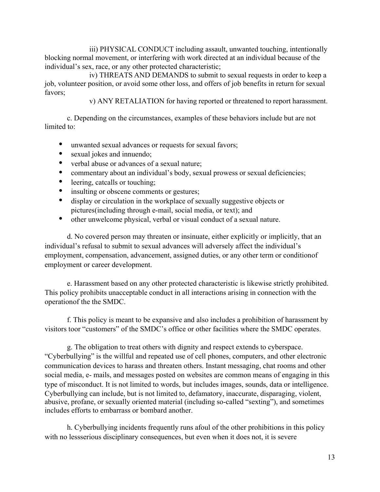iii) PHYSICAL CONDUCT including assault, unwanted touching, intentionally blocking normal movement, or interfering with work directed at an individual because of the individual's sex, race, or any other protected characteristic;

 iv) THREATS AND DEMANDS to submit to sexual requests in order to keep a job, volunteer position, or avoid some other loss, and offers of job benefits in return for sexual favors;

v) ANY RETALIATION for having reported or threatened to report harassment.

c. Depending on the circumstances, examples of these behaviors include but are not limited to:

- unwanted sexual advances or requests for sexual favors;
- sexual jokes and innuendo;
- verbal abuse or advances of a sexual nature;
- commentary about an individual's body, sexual prowess or sexual deficiencies;
- leering, catcalls or touching;
- insulting or obscene comments or gestures;
- display or circulation in the workplace of sexually suggestive objects or pictures (including through e-mail, social media, or text); and
- other unwelcome physical, verbal or visual conduct of a sexual nature.

d. No covered person may threaten or insinuate, either explicitly or implicitly, that an individual's refusal to submit to sexual advances will adversely affect the individual's employment, compensation, advancement, assigned duties, or any other term or condition of employment or career development.

e. Harassment based on any other protected characteristic is likewise strictly prohibited. This policy prohibits unacceptable conduct in all interactions arising in connection with the operation of the the SMDC.

f. This policy is meant to be expansive and also includes a prohibition of harassment by visitors toor "customers" of the SMDC's office or other facilities where the SMDC operates.

g. The obligation to treat others with dignity and respect extends to cyberspace. "Cyberbullying" is the willful and repeated use of cell phones, computers, and other electronic communication devices to harass and threaten others. Instant messaging, chat rooms and other social media, e- mails, and messages posted on websites are common means of engaging in this type of misconduct. It is not limited to words, but includes images, sounds, data or intelligence. Cyberbullying can include, but is not limited to, defamatory, inaccurate, disparaging, violent, abusive, profane, or sexually oriented material (including so-called "sexting"), and sometimes includes efforts to embarrass or bombard another.

h. Cyberbullying incidents frequently runs afoul of the other prohibitions in this policy with no less serious disciplinary consequences, but even when it does not, it is severe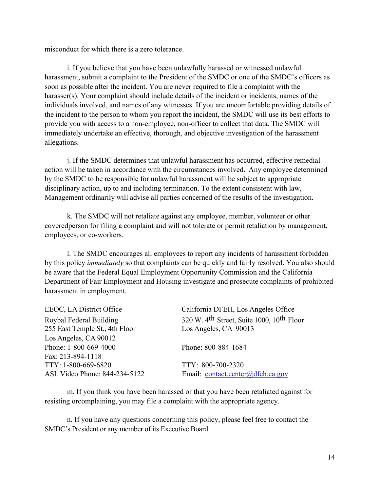misconduct for which there is a zero tolerance.

i. If you believe that you have been unlawfully harassed or witnessed unlawful harassment, submit a complaint to the President of the SMDC or one of the SMDC's officers as soon as possible after the incident. You are never required to file a complaint with the harasser(s). Your complaint should include details of the incident or incidents, names of the individuals involved, and names of any witnesses. If you are uncomfortable providing details of the incident to the person to whom you report the incident, the SMDC will use its best efforts to provide you with access to a non-employee, non-officer to collect that data. The SMDC will immediately undertake an effective, thorough, and objective investigation of the harassment allegations.

j. If the SMDC determines that unlawful harassment has occurred, effective remedial action will be taken in accordance with the circumstances involved. Any employee determined by the SMDC to be responsible for unlawful harassment will be subject to appropriate disciplinary action, up to and including termination. To the extent consistent with law, Management ordinarily will advise all parties concerned of the results of the investigation.

k. The SMDC will not retaliate against any employee, member, volunteer or other covered person for filing a complaint and will not tolerate or permit retaliation by management, employees, or co-workers.

l. The SMDC encourages all employees to report any incidents of harassment forbidden by this policy *immediately* so that complaints can be quickly and fairly resolved. You also should be aware that the Federal Equal Employment Opportunity Commission and the California Department of Fair Employment and Housing investigate and prosecute complaints of prohibited harassment in employment.

| California DFEH, Los Angeles Office                               |
|-------------------------------------------------------------------|
| 320 W. 4 <sup>th</sup> Street, Suite 1000, 10 <sup>th</sup> Floor |
|                                                                   |
|                                                                   |
|                                                                   |
|                                                                   |
|                                                                   |
| Email: contact.center@dfeh.ca.gov                                 |
|                                                                   |

m. If you think you have been harassed or that you have been retaliated against for resisting or complaining, you may file a complaint with the appropriate agency.

n. If you have any questions concerning this policy, please feel free to contact the SMDC's President or any member of its Executive Board.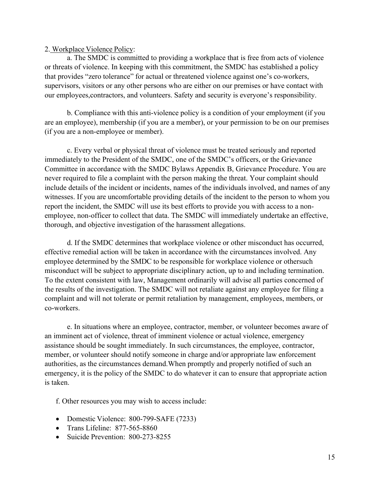#### 2. Workplace Violence Policy:

a. The SMDC is committed to providing a workplace that is free from acts of violence or threats of violence. In keeping with this commitment, the SMDC has established a policy that provides "zero tolerance" for actual or threatened violence against one's co-workers, supervisors, visitors or any other persons who are either on our premises or have contact with our employees, contractors, and volunteers. Safety and security is everyone's responsibility.

b. Compliance with this anti-violence policy is a condition of your employment (if you are an employee), membership (if you are a member), or your permission to be on our premises (if you are a non-employee or member).

c. Every verbal or physical threat of violence must be treated seriously and reported immediately to the President of the SMDC, one of the SMDC's officers, or the Grievance Committee in accordance with the SMDC Bylaws Appendix B, Grievance Procedure. You are never required to file a complaint with the person making the threat. Your complaint should include details of the incident or incidents, names of the individuals involved, and names of any witnesses. If you are uncomfortable providing details of the incident to the person to whom you report the incident, the SMDC will use its best efforts to provide you with access to a nonemployee, non-officer to collect that data. The SMDC will immediately undertake an effective, thorough, and objective investigation of the harassment allegations.

d. If the SMDC determines that workplace violence or other misconduct has occurred, effective remedial action will be taken in accordance with the circumstances involved. Any employee determined by the SMDC to be responsible for workplace violence or other such misconduct will be subject to appropriate disciplinary action, up to and including termination. To the extent consistent with law, Management ordinarily will advise all parties concerned of the results of the investigation. The SMDC will not retaliate against any employee for filing a complaint and will not tolerate or permit retaliation by management, employees, members, or co-workers.

e. In situations where an employee, contractor, member, or volunteer becomes aware of an imminent act of violence, threat of imminent violence or actual violence, emergency assistance should be sought immediately. In such circumstances, the employee, contractor, member, or volunteer should notify someone in charge and/or appropriate law enforcement authorities, as the circumstances demand. When promptly and properly notified of such an emergency, it is the policy of the SMDC to do whatever it can to ensure that appropriate action is taken.

f. Other resources you may wish to access include:

- Domestic Violence: 800-799-SAFE (7233)
- Trans Lifeline: 877-565-8860
- Suicide Prevention: 800-273-8255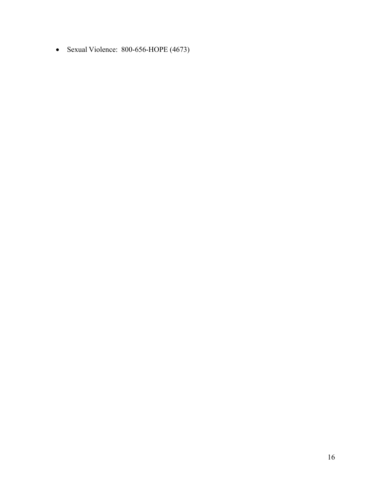Sexual Violence: 800-656-HOPE (4673)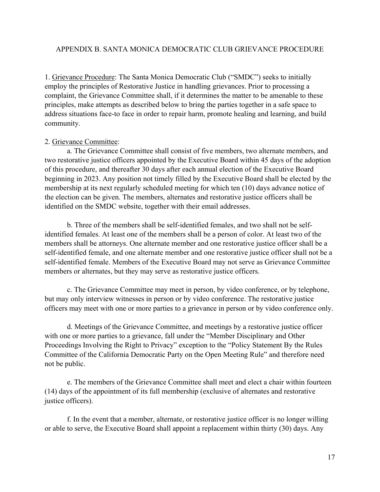### APPENDIX B. SANTA MONICA DEMOCRATIC CLUB GRIEVANCE PROCEDURE

1. Grievance Procedure: The Santa Monica Democratic Club ("SMDC") seeks to initially employ the principles of Restorative Justice in handling grievances. Prior to processing a complaint, the Grievance Committee shall, if it determines the matter to be amenable to these principles, make attempts as described below to bring the parties together in a safe space to address situations face-to face in order to repair harm, promote healing and learning, and build community.

#### 2. Grievance Committee:

a. The Grievance Committee shall consist of five members, two alternate members, and two restorative justice officers appointed by the Executive Board within 45 days of the adoption of this procedure, and thereafter 30 days after each annual election of the Executive Board beginning in 2023. Any position not timely filled by the Executive Board shall be elected by the membership at its next regularly scheduled meeting for which ten (10) days advance notice of the election can be given. The members, alternates and restorative justice officers shall be identified on the SMDC website, together with their email addresses.

b. Three of the members shall be self-identified females, and two shall not be selfidentified females. At least one of the members shall be a person of color. At least two of the members shall be attorneys. One alternate member and one restorative justice officer shall be a self-identified female, and one alternate member and one restorative justice officer shall not be a self-identified female. Members of the Executive Board may not serve as Grievance Committee members or alternates, but they may serve as restorative justice officers.

c. The Grievance Committee may meet in person, by video conference, or by telephone, but may only interview witnesses in person or by video conference. The restorative justice officers may meet with one or more parties to a grievance in person or by video conference only.

d. Meetings of the Grievance Committee, and meetings by a restorative justice officer with one or more parties to a grievance, fall under the "Member Disciplinary and Other Proceedings Involving the Right to Privacy" exception to the "Policy Statement By the Rules Committee of the California Democratic Party on the Open Meeting Rule" and therefore need not be public.

e. The members of the Grievance Committee shall meet and elect a chair within fourteen (14) days of the appointment of its full membership (exclusive of alternates and restorative justice officers).

f. In the event that a member, alternate, or restorative justice officer is no longer willing or able to serve, the Executive Board shall appoint a replacement within thirty (30) days. Any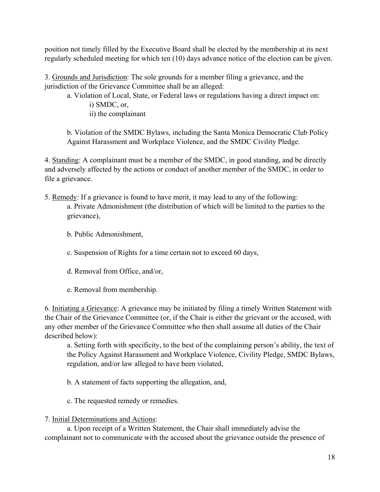position not timely filled by the Executive Board shall be elected by the membership at its next regularly scheduled meeting for which ten (10) days advance notice of the election can be given.

3. Grounds and Jurisdiction: The sole grounds for a member filing a grievance, and the jurisdiction of the Grievance Committee shall be an alleged:

a. Violation of Local, State, or Federal laws or regulations having a direct impact on: i) SMDC, or, ii) the complainant

b. Violation of the SMDC Bylaws, including the Santa Monica Democratic Club Policy Against Harassment and Workplace Violence, and the SMDC Civility Pledge.

4. Standing: A complainant must be a member of the SMDC, in good standing, and be directly and adversely affected by the actions or conduct of another member of the SMDC, in order to file a grievance.

- 5. Remedy: If a grievance is found to have merit, it may lead to any of the following: a. Private Admonishment (the distribution of which will be limited to the parties to the grievance),
	- b. Public Admonishment,
	- c. Suspension of Rights for a time certain not to exceed 60 days,
	- d. Removal from Office, and/or,
	- e. Removal from membership.

6. Initiating a Grievance: A grievance may be initiated by filing a timely Written Statement with the Chair of the Grievance Committee (or, if the Chair is either the grievant or the accused, with any other member of the Grievance Committee who then shall assume all duties of the Chair described below):

a. Setting forth with specificity, to the best of the complaining person's ability, the text of the Policy Against Harassment and Workplace Violence, Civility Pledge, SMDC Bylaws, regulation, and/or law alleged to have been violated,

- b. A statement of facts supporting the allegation, and,
- c. The requested remedy or remedies.

# 7. Initial Determinations and Actions:

a. Upon receipt of a Written Statement, the Chair shall immediately advise the complainant not to communicate with the accused about the grievance outside the presence of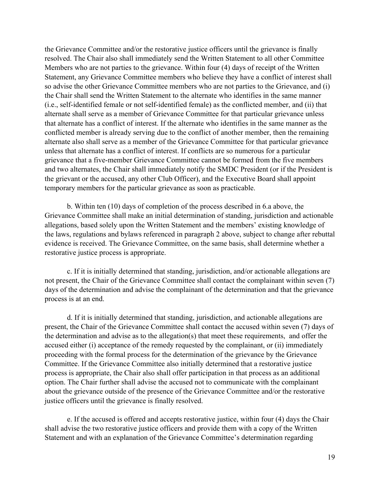the Grievance Committee and/or the restorative justice officers until the grievance is finally resolved. The Chair also shall immediately send the Written Statement to all other Committee Members who are not parties to the grievance. Within four (4) days of receipt of the Written Statement, any Grievance Committee members who believe they have a conflict of interest shall so advise the other Grievance Committee members who are not parties to the Grievance, and (i) the Chair shall send the Written Statement to the alternate who identifies in the same manner (i.e., self-identified female or not self-identified female) as the conflicted member, and (ii) that alternate shall serve as a member of Grievance Committee for that particular grievance unless that alternate has a conflict of interest. If the alternate who identifies in the same manner as the conflicted member is already serving due to the conflict of another member, then the remaining alternate also shall serve as a member of the Grievance Committee for that particular grievance unless that alternate has a conflict of interest. If conflicts are so numerous for a particular grievance that a five-member Grievance Committee cannot be formed from the five members and two alternates, the Chair shall immediately notify the SMDC President (or if the President is the grievant or the accused, any other Club Officer), and the Executive Board shall appoint temporary members for the particular grievance as soon as practicable.

b. Within ten (10) days of completion of the process described in 6.a above, the Grievance Committee shall make an initial determination of standing, jurisdiction and actionable allegations, based solely upon the Written Statement and the members' existing knowledge of the laws, regulations and bylaws referenced in paragraph 2 above, subject to change after rebuttal evidence is received. The Grievance Committee, on the same basis, shall determine whether a restorative justice process is appropriate.

c. If it is initially determined that standing, jurisdiction, and/or actionable allegations are not present, the Chair of the Grievance Committee shall contact the complainant within seven (7) days of the determination and advise the complainant of the determination and that the grievance process is at an end.

d. If it is initially determined that standing, jurisdiction, and actionable allegations are present, the Chair of the Grievance Committee shall contact the accused within seven (7) days of the determination and advise as to the allegation(s) that meet these requirements, and offer the accused either (i) acceptance of the remedy requested by the complainant, or (ii) immediately proceeding with the formal process for the determination of the grievance by the Grievance Committee. If the Grievance Committee also initially determined that a restorative justice process is appropriate, the Chair also shall offer participation in that process as an additional option. The Chair further shall advise the accused not to communicate with the complainant about the grievance outside of the presence of the Grievance Committee and/or the restorative justice officers until the grievance is finally resolved.

e. If the accused is offered and accepts restorative justice, within four (4) days the Chair shall advise the two restorative justice officers and provide them with a copy of the Written Statement and with an explanation of the Grievance Committee's determination regarding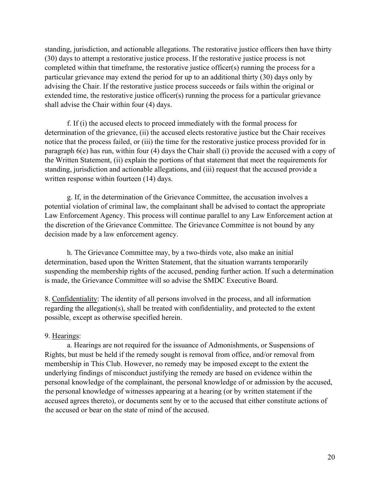standing, jurisdiction, and actionable allegations. The restorative justice officers then have thirty (30) days to attempt a restorative justice process. If the restorative justice process is not completed within that timeframe, the restorative justice officer(s) running the process for a particular grievance may extend the period for up to an additional thirty (30) days only by advising the Chair. If the restorative justice process succeeds or fails within the original or extended time, the restorative justice officer(s) running the process for a particular grievance shall advise the Chair within four (4) days.

f. If (i) the accused elects to proceed immediately with the formal process for determination of the grievance, (ii) the accused elects restorative justice but the Chair receives notice that the process failed, or (iii) the time for the restorative justice process provided for in paragraph 6(e) has run, within four (4) days the Chair shall (i) provide the accused with a copy of the Written Statement, (ii) explain the portions of that statement that meet the requirements for standing, jurisdiction and actionable allegations, and (iii) request that the accused provide a written response within fourteen (14) days.

g. If, in the determination of the Grievance Committee, the accusation involves a potential violation of criminal law, the complainant shall be advised to contact the appropriate Law Enforcement Agency. This process will continue parallel to any Law Enforcement action at the discretion of the Grievance Committee. The Grievance Committee is not bound by any decision made by a law enforcement agency.

h. The Grievance Committee may, by a two-thirds vote, also make an initial determination, based upon the Written Statement, that the situation warrants temporarily suspending the membership rights of the accused, pending further action. If such a determination is made, the Grievance Committee will so advise the SMDC Executive Board.

8. Confidentiality: The identity of all persons involved in the process, and all information regarding the allegation(s), shall be treated with confidentiality, and protected to the extent possible, except as otherwise specified herein.

#### 9. Hearings:

a. Hearings are not required for the issuance of Admonishments, or Suspensions of Rights, but must be held if the remedy sought is removal from office, and/or removal from membership in This Club. However, no remedy may be imposed except to the extent the underlying findings of misconduct justifying the remedy are based on evidence within the personal knowledge of the complainant, the personal knowledge of or admission by the accused, the personal knowledge of witnesses appearing at a hearing (or by written statement if the accused agrees thereto), or documents sent by or to the accused that either constitute actions of the accused or bear on the state of mind of the accused.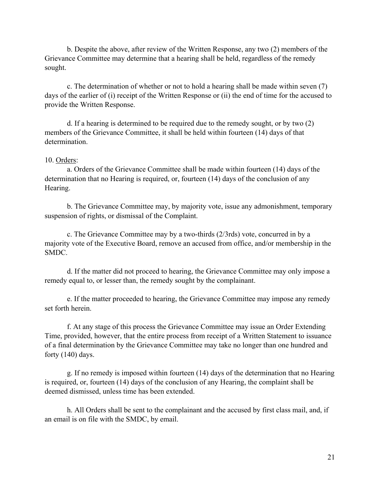b. Despite the above, after review of the Written Response, any two (2) members of the Grievance Committee may determine that a hearing shall be held, regardless of the remedy sought.

c. The determination of whether or not to hold a hearing shall be made within seven (7) days of the earlier of (i) receipt of the Written Response or (ii) the end of time for the accused to provide the Written Response.

d. If a hearing is determined to be required due to the remedy sought, or by two (2) members of the Grievance Committee, it shall be held within fourteen (14) days of that determination.

#### 10. Orders:

a. Orders of the Grievance Committee shall be made within fourteen (14) days of the determination that no Hearing is required, or, fourteen (14) days of the conclusion of any Hearing.

b. The Grievance Committee may, by majority vote, issue any admonishment, temporary suspension of rights, or dismissal of the Complaint.

c. The Grievance Committee may by a two-thirds (2/3rds) vote, concurred in by a majority vote of the Executive Board, remove an accused from office, and/or membership in the SMDC.

d. If the matter did not proceed to hearing, the Grievance Committee may only impose a remedy equal to, or lesser than, the remedy sought by the complainant.

e. If the matter proceeded to hearing, the Grievance Committee may impose any remedy set forth herein.

f. At any stage of this process the Grievance Committee may issue an Order Extending Time, provided, however, that the entire process from receipt of a Written Statement to issuance of a final determination by the Grievance Committee may take no longer than one hundred and forty (140) days.

g. If no remedy is imposed within fourteen (14) days of the determination that no Hearing is required, or, fourteen (14) days of the conclusion of any Hearing, the complaint shall be deemed dismissed, unless time has been extended.

h. All Orders shall be sent to the complainant and the accused by first class mail, and, if an email is on file with the SMDC, by email.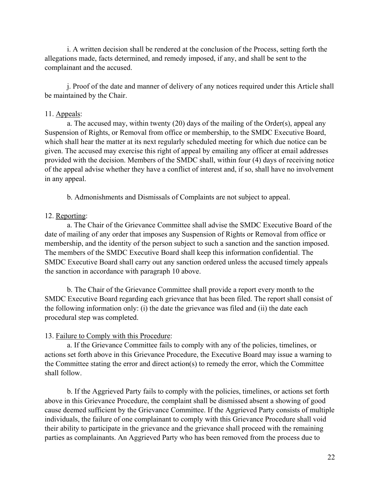i. A written decision shall be rendered at the conclusion of the Process, setting forth the allegations made, facts determined, and remedy imposed, if any, and shall be sent to the complainant and the accused.

j. Proof of the date and manner of delivery of any notices required under this Article shall be maintained by the Chair.

#### 11. Appeals:

a. The accused may, within twenty (20) days of the mailing of the Order(s), appeal any Suspension of Rights, or Removal from office or membership, to the SMDC Executive Board, which shall hear the matter at its next regularly scheduled meeting for which due notice can be given. The accused may exercise this right of appeal by emailing any officer at email addresses provided with the decision. Members of the SMDC shall, within four (4) days of receiving notice of the appeal advise whether they have a conflict of interest and, if so, shall have no involvement in any appeal.

b. Admonishments and Dismissals of Complaints are not subject to appeal.

### 12. Reporting:

a. The Chair of the Grievance Committee shall advise the SMDC Executive Board of the date of mailing of any order that imposes any Suspension of Rights or Removal from office or membership, and the identity of the person subject to such a sanction and the sanction imposed. The members of the SMDC Executive Board shall keep this information confidential. The SMDC Executive Board shall carry out any sanction ordered unless the accused timely appeals the sanction in accordance with paragraph 10 above.

b. The Chair of the Grievance Committee shall provide a report every month to the SMDC Executive Board regarding each grievance that has been filed. The report shall consist of the following information only: (i) the date the grievance was filed and (ii) the date each procedural step was completed.

#### 13. Failure to Comply with this Procedure:

a. If the Grievance Committee fails to comply with any of the policies, timelines, or actions set forth above in this Grievance Procedure, the Executive Board may issue a warning to the Committee stating the error and direct action(s) to remedy the error, which the Committee shall follow.

b. If the Aggrieved Party fails to comply with the policies, timelines, or actions set forth above in this Grievance Procedure, the complaint shall be dismissed absent a showing of good cause deemed sufficient by the Grievance Committee. If the Aggrieved Party consists of multiple individuals, the failure of one complainant to comply with this Grievance Procedure shall void their ability to participate in the grievance and the grievance shall proceed with the remaining parties as complainants. An Aggrieved Party who has been removed from the process due to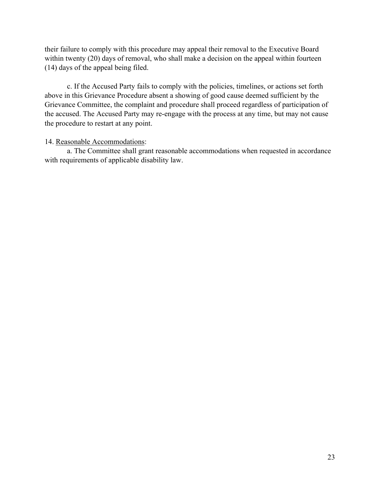their failure to comply with this procedure may appeal their removal to the Executive Board within twenty (20) days of removal, who shall make a decision on the appeal within fourteen (14) days of the appeal being filed.

c. If the Accused Party fails to comply with the policies, timelines, or actions set forth above in this Grievance Procedure absent a showing of good cause deemed sufficient by the Grievance Committee, the complaint and procedure shall proceed regardless of participation of the accused. The Accused Party may re-engage with the process at any time, but may not cause the procedure to restart at any point.

### 14. Reasonable Accommodations:

a. The Committee shall grant reasonable accommodations when requested in accordance with requirements of applicable disability law.